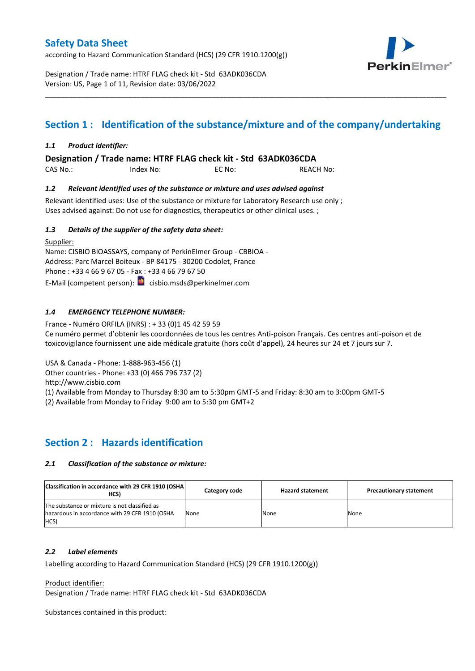according to Hazard Communication Standard (HCS) (29 CFR 1910.1200(g))



Designation / Trade name: HTRF FLAG check kit - Std 63ADK036CDA Version: US, Page 1 of 11, Revision date: 03/06/2022

# **Section 1 : Identification of the substance/mixture and of the company/undertaking**

\_\_\_\_\_\_\_\_\_\_\_\_\_\_\_\_\_\_\_\_\_\_\_\_\_\_\_\_\_\_\_\_\_\_\_\_\_\_\_\_\_\_\_\_\_\_\_\_\_\_\_\_\_\_\_\_\_\_\_\_\_\_\_\_\_\_\_\_\_\_\_\_\_\_\_\_\_\_\_\_\_\_\_\_\_\_\_\_\_\_\_\_\_\_\_\_\_\_\_\_\_

### *1.1 Product identifier:*

**Designation / Trade name: HTRF FLAG check kit - Std 63ADK036CDA** 

CAS No.: Index No: EC No: REACH No:

### *1.2 Relevant identified uses of the substance or mixture and uses advised against*

Relevant identified uses: Use of the substance or mixture for Laboratory Research use only; Uses advised against: Do not use for diagnostics, therapeutics or other clinical uses. ;

### *1.3 Details of the supplier of the safety data sheet:*

Supplier: Name: CISBIO BIOASSAYS, company of PerkinElmer Group - CBBIOA - Address: Parc Marcel Boiteux - BP 84175 - 30200 Codolet, France Phone : +33 4 66 9 67 05 - Fax : +33 4 66 79 67 50 E-Mail (competent person): **c**isbio.msds@perkinelmer.com

### *1.4 EMERGENCY TELEPHONE NUMBER:*

France - Numéro ORFILA (INRS) : + 33 (0)1 45 42 59 59 Ce numéro permet d'obtenir les coordonnées de tous les centres Anti-poison Français. Ces centres anti-poison et de toxicovigilance fournissent une aide médicale gratuite (hors coût d'appel), 24 heures sur 24 et 7 jours sur 7.

USA & Canada - Phone: 1-888-963-456 (1)

Other countries - Phone: +33 (0) 466 796 737 (2)

http://www.cisbio.com

(1) Available from Monday to Thursday 8:30 am to 5:30pm GMT-5 and Friday: 8:30 am to 3:00pm GMT-5

(2) Available from Monday to Friday 9:00 am to 5:30 pm GMT+2

### **Section 2 : Hazards identification**

#### *2.1 Classification of the substance or mixture:*

| Classification in accordance with 29 CFR 1910 (OSHA)<br>HCS)                                            | Category code | <b>Hazard statement</b> | <b>Precautionary statement</b> |
|---------------------------------------------------------------------------------------------------------|---------------|-------------------------|--------------------------------|
| The substance or mixture is not classified as<br>hazardous in accordance with 29 CFR 1910 (OSHA<br>HCS) | None          | None                    | None                           |

#### *2.2 Label elements*

Labelling according to Hazard Communication Standard (HCS) (29 CFR 1910.1200(g))

Product identifier:

Designation / Trade name: HTRF FLAG check kit - Std 63ADK036CDA

Substances contained in this product: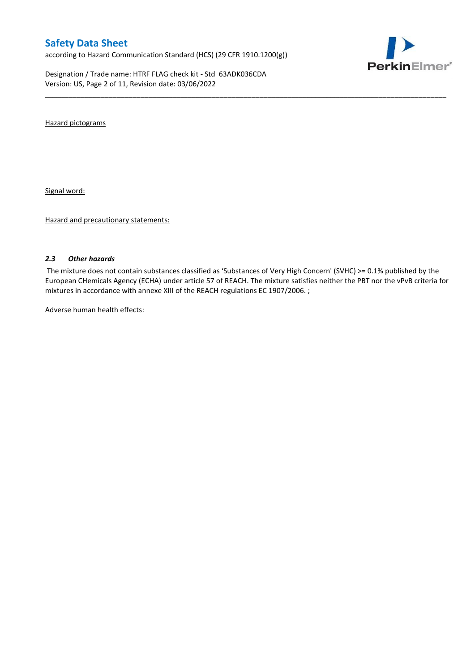according to Hazard Communication Standard (HCS) (29 CFR 1910.1200(g))

Designation / Trade name: HTRF FLAG check kit - Std 63ADK036CDA Version: US, Page 2 of 11, Revision date: 03/06/2022



Hazard pictograms

Signal word:

Hazard and precautionary statements:

#### *2.3 Other hazards*

The mixture does not contain substances classified as 'Substances of Very High Concern' (SVHC) >= 0.1% published by the European CHemicals Agency (ECHA) under article 57 of REACH. The mixture satisfies neither the PBT nor the vPvB criteria for mixtures in accordance with annexe XIII of the REACH regulations EC 1907/2006. ;

\_\_\_\_\_\_\_\_\_\_\_\_\_\_\_\_\_\_\_\_\_\_\_\_\_\_\_\_\_\_\_\_\_\_\_\_\_\_\_\_\_\_\_\_\_\_\_\_\_\_\_\_\_\_\_\_\_\_\_\_\_\_\_\_\_\_\_\_\_\_\_\_\_\_\_\_\_\_\_\_\_\_\_\_\_\_\_\_\_\_\_\_\_\_\_\_\_\_\_\_\_

Adverse human health effects: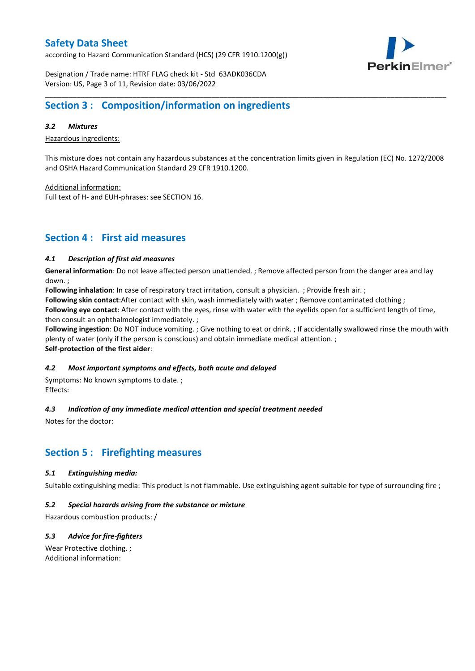according to Hazard Communication Standard (HCS) (29 CFR 1910.1200(g))



Designation / Trade name: HTRF FLAG check kit - Std 63ADK036CDA Version: US, Page 3 of 11, Revision date: 03/06/2022

### **Section 3 : Composition/information on ingredients**

### *3.2 Mixtures*

Hazardous ingredients:

This mixture does not contain any hazardous substances at the concentration limits given in Regulation (EC) No. 1272/2008 and OSHA Hazard Communication Standard 29 CFR 1910.1200.

\_\_\_\_\_\_\_\_\_\_\_\_\_\_\_\_\_\_\_\_\_\_\_\_\_\_\_\_\_\_\_\_\_\_\_\_\_\_\_\_\_\_\_\_\_\_\_\_\_\_\_\_\_\_\_\_\_\_\_\_\_\_\_\_\_\_\_\_\_\_\_\_\_\_\_\_\_\_\_\_\_\_\_\_\_\_\_\_\_\_\_\_\_\_\_\_\_\_\_\_\_

Additional information:

Full text of H- and EUH-phrases: see SECTION 16.

### **Section 4 : First aid measures**

#### *4.1 Description of first aid measures*

**General information**: Do not leave affected person unattended. ; Remove affected person from the danger area and lay down. ;

**Following inhalation**: In case of respiratory tract irritation, consult a physician. ; Provide fresh air. ;

**Following skin contact**:After contact with skin, wash immediately with water ; Remove contaminated clothing ;

**Following eye contact**: After contact with the eyes, rinse with water with the eyelids open for a sufficient length of time, then consult an ophthalmologist immediately. ;

**Following ingestion**: Do NOT induce vomiting. ; Give nothing to eat or drink. ; If accidentally swallowed rinse the mouth with plenty of water (only if the person is conscious) and obtain immediate medical attention. ; **Self-protection of the first aider**:

#### *4.2 Most important symptoms and effects, both acute and delayed*

Symptoms: No known symptoms to date. ; Effects:

### *4.3 Indication of any immediate medical attention and special treatment needed*

Notes for the doctor:

## **Section 5 : Firefighting measures**

#### *5.1 Extinguishing media:*

Suitable extinguishing media: This product is not flammable. Use extinguishing agent suitable for type of surrounding fire ;

#### *5.2 Special hazards arising from the substance or mixture*

Hazardous combustion products: /

### *5.3 Advice for fire-fighters*

Wear Protective clothing. ; Additional information: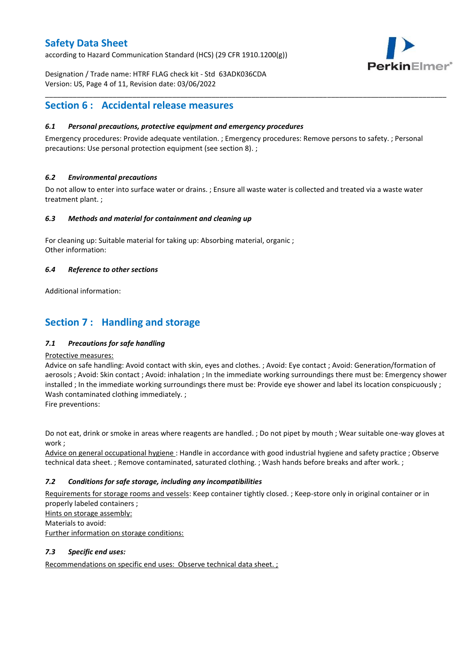according to Hazard Communication Standard (HCS) (29 CFR 1910.1200(g))



Designation / Trade name: HTRF FLAG check kit - Std 63ADK036CDA Version: US, Page 4 of 11, Revision date: 03/06/2022

### **Section 6 : Accidental release measures**

### *6.1 Personal precautions, protective equipment and emergency procedures*

Emergency procedures: Provide adequate ventilation. ; Emergency procedures: Remove persons to safety. ; Personal precautions: Use personal protection equipment (see section 8). ;

\_\_\_\_\_\_\_\_\_\_\_\_\_\_\_\_\_\_\_\_\_\_\_\_\_\_\_\_\_\_\_\_\_\_\_\_\_\_\_\_\_\_\_\_\_\_\_\_\_\_\_\_\_\_\_\_\_\_\_\_\_\_\_\_\_\_\_\_\_\_\_\_\_\_\_\_\_\_\_\_\_\_\_\_\_\_\_\_\_\_\_\_\_\_\_\_\_\_\_\_\_

### *6.2 Environmental precautions*

Do not allow to enter into surface water or drains. ; Ensure all waste water is collected and treated via a waste water treatment plant. ;

#### *6.3 Methods and material for containment and cleaning up*

For cleaning up: Suitable material for taking up: Absorbing material, organic ; Other information:

### *6.4 Reference to other sections*

Additional information:

## **Section 7 : Handling and storage**

### *7.1 Precautions for safe handling*

#### Protective measures:

Advice on safe handling: Avoid contact with skin, eyes and clothes. ; Avoid: Eye contact ; Avoid: Generation/formation of aerosols ; Avoid: Skin contact ; Avoid: inhalation ; In the immediate working surroundings there must be: Emergency shower installed ; In the immediate working surroundings there must be: Provide eye shower and label its location conspicuously ; Wash contaminated clothing immediately. ;

Fire preventions:

Do not eat, drink or smoke in areas where reagents are handled. ; Do not pipet by mouth ; Wear suitable one-way gloves at work ;

Advice on general occupational hygiene : Handle in accordance with good industrial hygiene and safety practice ; Observe technical data sheet. ; Remove contaminated, saturated clothing. ; Wash hands before breaks and after work. ;

### *7.2 Conditions for safe storage, including any incompatibilities*

Requirements for storage rooms and vessels: Keep container tightly closed. ; Keep-store only in original container or in properly labeled containers ; Hints on storage assembly: Materials to avoid:

Further information on storage conditions:

### *7.3 Specific end uses:*

Recommendations on specific end uses: Observe technical data sheet. ;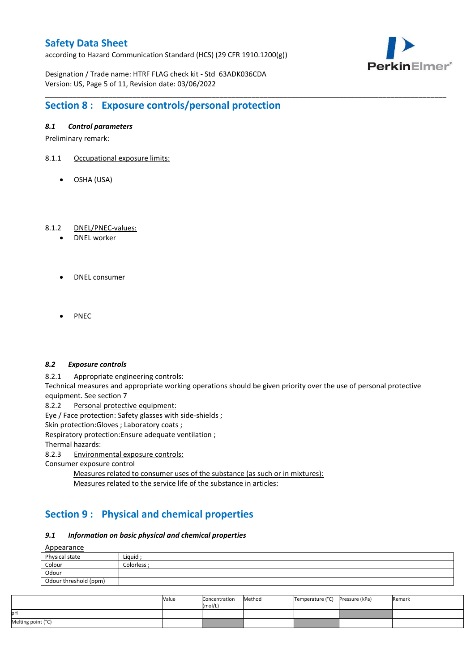according to Hazard Communication Standard (HCS) (29 CFR 1910.1200(g))



Designation / Trade name: HTRF FLAG check kit - Std 63ADK036CDA Version: US, Page 5 of 11, Revision date: 03/06/2022

# **Section 8 : Exposure controls/personal protection**

### *8.1 Control parameters*

Preliminary remark:

- 8.1.1 Occupational exposure limits:
	- OSHA (USA)

### 8.1.2 DNEL/PNEC-values:

- DNEL worker
- DNEL consumer
- PNEC

#### *8.2 Exposure controls*

8.2.1 Appropriate engineering controls:

Technical measures and appropriate working operations should be given priority over the use of personal protective equipment. See section 7

\_\_\_\_\_\_\_\_\_\_\_\_\_\_\_\_\_\_\_\_\_\_\_\_\_\_\_\_\_\_\_\_\_\_\_\_\_\_\_\_\_\_\_\_\_\_\_\_\_\_\_\_\_\_\_\_\_\_\_\_\_\_\_\_\_\_\_\_\_\_\_\_\_\_\_\_\_\_\_\_\_\_\_\_\_\_\_\_\_\_\_\_\_\_\_\_\_\_\_\_\_

8.2.2 Personal protective equipment:

Eye / Face protection: Safety glasses with side-shields ;

Skin protection: Gloves ; Laboratory coats ;

Respiratory protection:Ensure adequate ventilation ;

Thermal hazards:

8.2.3 Environmental exposure controls:

Consumer exposure control

Measures related to consumer uses of the substance (as such or in mixtures): Measures related to the service life of the substance in articles:

# **Section 9 : Physical and chemical properties**

### *9.1 Information on basic physical and chemical properties*

**A**ppearance

| N                     |            |
|-----------------------|------------|
| Physical state        | Liguid     |
| Colour                | Colorless: |
| Odour                 |            |
| Odour threshold (ppm) |            |

|                    | Value | Concentration<br>(mol/L) | Method | Temperature (°C) | Pressure (kPa) | Remark |
|--------------------|-------|--------------------------|--------|------------------|----------------|--------|
| pН                 |       |                          |        |                  |                |        |
| Melting point (°C) |       |                          |        |                  |                |        |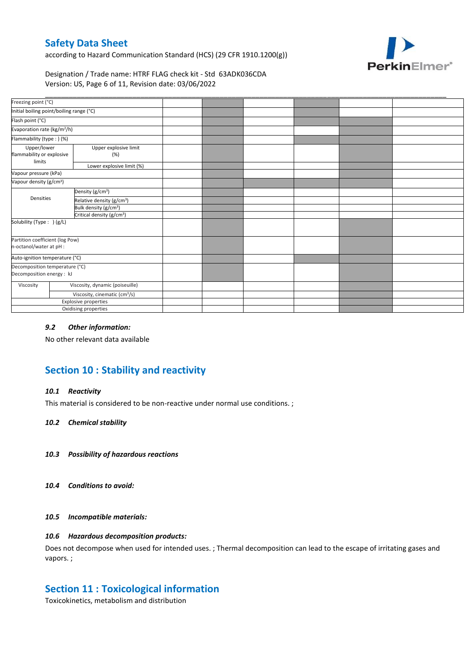according to Hazard Communication Standard (HCS) (29 CFR 1910.1200(g))



Designation / Trade name: HTRF FLAG check kit - Std 63ADK036CDA Version: US, Page 6 of 11, Revision date: 03/06/2022

| Freezing point (°C)                                         |  |                                           |  |  |  |
|-------------------------------------------------------------|--|-------------------------------------------|--|--|--|
| Initial boiling point/boiling range (°C)                    |  |                                           |  |  |  |
| Flash point (°C)                                            |  |                                           |  |  |  |
| Evaporation rate (kg/m <sup>2</sup> /h)                     |  |                                           |  |  |  |
| Flammability (type: ) (%)                                   |  |                                           |  |  |  |
| Upper/lower<br>flammability or explosive<br>limits          |  | Upper explosive limit<br>(%)              |  |  |  |
|                                                             |  | Lower explosive limit (%)                 |  |  |  |
| Vapour pressure (kPa)                                       |  |                                           |  |  |  |
| Vapour density (g/cm <sup>3</sup> )                         |  |                                           |  |  |  |
|                                                             |  | Density (g/cm <sup>3</sup> )              |  |  |  |
| Densities                                                   |  | Relative density (g/cm <sup>3</sup> )     |  |  |  |
|                                                             |  | Bulk density (g/cm <sup>3</sup> )         |  |  |  |
|                                                             |  | Critical density (g/cm <sup>3</sup> )     |  |  |  |
| Solubility (Type: ) (g/L)                                   |  |                                           |  |  |  |
| Partition coefficient (log Pow)<br>n-octanol/water at pH :  |  |                                           |  |  |  |
| Auto-ignition temperature (°C)                              |  |                                           |  |  |  |
| Decomposition temperature (°C)<br>Decomposition energy : kJ |  |                                           |  |  |  |
| Viscosity                                                   |  | Viscosity, dynamic (poiseuille)           |  |  |  |
|                                                             |  | Viscosity, cinematic (cm <sup>3</sup> /s) |  |  |  |
|                                                             |  | Explosive properties                      |  |  |  |
|                                                             |  | Oxidising properties                      |  |  |  |

### *9.2 Other information:*

No other relevant data available

# **Section 10 : Stability and reactivity**

#### *10.1 Reactivity*

This material is considered to be non-reactive under normal use conditions. ;

#### *10.2 Chemical stability*

- *10.3 Possibility of hazardous reactions*
- *10.4 Conditions to avoid:*

#### *10.5 Incompatible materials:*

### *10.6 Hazardous decomposition products:*

Does not decompose when used for intended uses. ; Thermal decomposition can lead to the escape of irritating gases and vapors. ;

### **Section 11 : Toxicological information**

Toxicokinetics, metabolism and distribution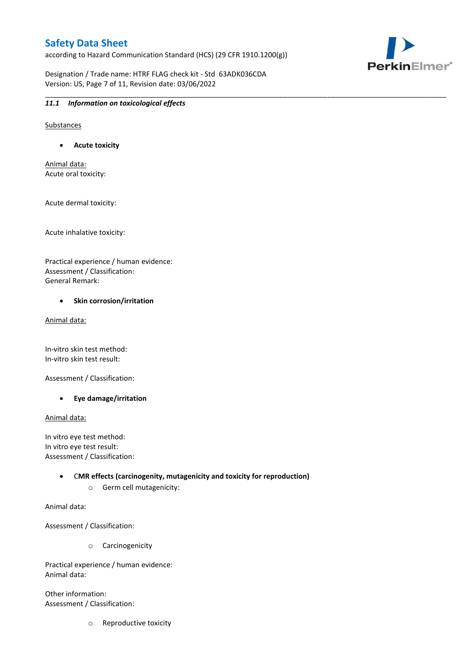according to Hazard Communication Standard (HCS) (29 CFR 1910.1200(g))

\_\_\_\_\_\_\_\_\_\_\_\_\_\_\_\_\_\_\_\_\_\_\_\_\_\_\_\_\_\_\_\_\_\_\_\_\_\_\_\_\_\_\_\_\_\_\_\_\_\_\_\_\_\_\_\_\_\_\_\_\_\_\_\_\_\_\_\_\_\_\_\_\_\_\_\_\_\_\_\_\_\_\_\_\_\_\_\_\_\_\_\_\_\_\_\_\_\_\_\_\_

PerkinElmer®

Designation / Trade name: HTRF FLAG check kit - Std 63ADK036CDA Version: US, Page 7 of 11, Revision date: 03/06/2022

### *11.1 Information on toxicological effects*

Substances

**Acute toxicity**

Animal data: Acute oral toxicity:

Acute dermal toxicity:

Acute inhalative toxicity:

Practical experience / human evidence: Assessment / Classification: General Remark:

#### **•** Skin corrosion/irritation

Animal data:

In-vitro skin test method: In-vitro skin test result:

Assessment / Classification:

**Eye damage/irritation**

Animal data:

In vitro eye test method: In vitro eye test result: Assessment / Classification:

> C**MR effects (carcinogenity, mutagenicity and toxicity for reproduction)** o Germ cell mutagenicity:

Animal data:

Assessment / Classification:

o Carcinogenicity

Practical experience / human evidence: Animal data:

Other information: Assessment / Classification:

o Reproductive toxicity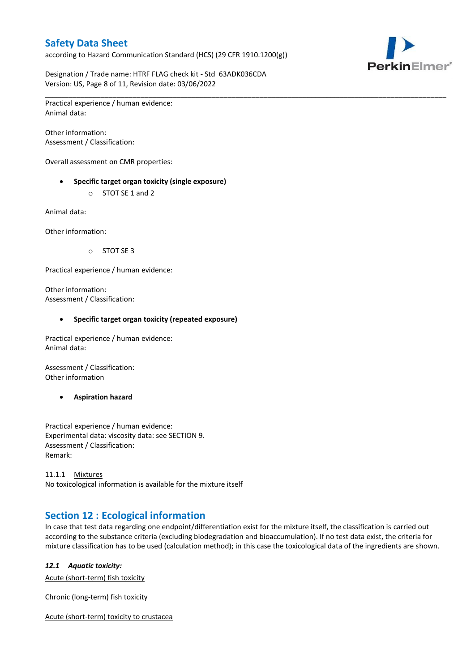according to Hazard Communication Standard (HCS) (29 CFR 1910.1200(g))

\_\_\_\_\_\_\_\_\_\_\_\_\_\_\_\_\_\_\_\_\_\_\_\_\_\_\_\_\_\_\_\_\_\_\_\_\_\_\_\_\_\_\_\_\_\_\_\_\_\_\_\_\_\_\_\_\_\_\_\_\_\_\_\_\_\_\_\_\_\_\_\_\_\_\_\_\_\_\_\_\_\_\_\_\_\_\_\_\_\_\_\_\_\_\_\_\_\_\_\_\_



Designation / Trade name: HTRF FLAG check kit - Std 63ADK036CDA Version: US, Page 8 of 11, Revision date: 03/06/2022

Practical experience / human evidence: Animal data:

Other information: Assessment / Classification:

Overall assessment on CMR properties:

- **Specific target organ toxicity (single exposure)**
	- o STOT SE 1 and 2

Animal data:

Other information:

o STOT SE 3

Practical experience / human evidence:

Other information: Assessment / Classification:

#### **Specific target organ toxicity (repeated exposure)**

Practical experience / human evidence: Animal data:

Assessment / Classification: Other information

**Aspiration hazard**

Practical experience / human evidence: Experimental data: viscosity data: see SECTION 9. Assessment / Classification: Remark:

11.1.1 Mixtures No toxicological information is available for the mixture itself

## **Section 12 : Ecological information**

In case that test data regarding one endpoint/differentiation exist for the mixture itself, the classification is carried out according to the substance criteria (excluding biodegradation and bioaccumulation). If no test data exist, the criteria for mixture classification has to be used (calculation method); in this case the toxicological data of the ingredients are shown.

#### *12.1 Aquatic toxicity:*

Acute (short-term) fish toxicity

Chronic (long-term) fish toxicity

Acute (short-term) toxicity to crustacea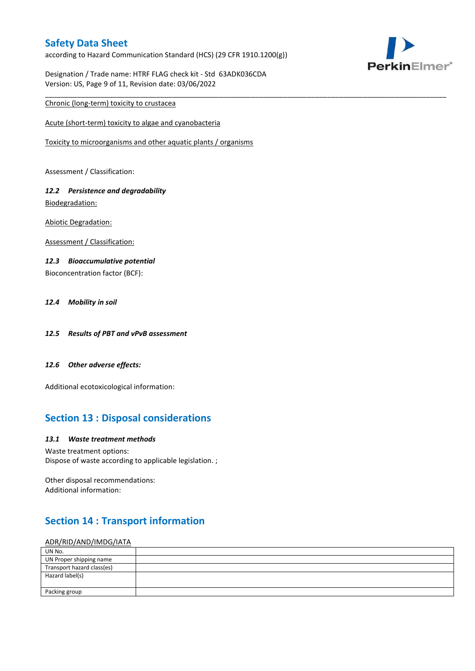according to Hazard Communication Standard (HCS) (29 CFR 1910.1200(g))

\_\_\_\_\_\_\_\_\_\_\_\_\_\_\_\_\_\_\_\_\_\_\_\_\_\_\_\_\_\_\_\_\_\_\_\_\_\_\_\_\_\_\_\_\_\_\_\_\_\_\_\_\_\_\_\_\_\_\_\_\_\_\_\_\_\_\_\_\_\_\_\_\_\_\_\_\_\_\_\_\_\_\_\_\_\_\_\_\_\_\_\_\_\_\_\_\_\_\_\_\_



Designation / Trade name: HTRF FLAG check kit - Std 63ADK036CDA Version: US, Page 9 of 11, Revision date: 03/06/2022

### Chronic (long-term) toxicity to crustacea

Acute (short-term) toxicity to algae and cyanobacteria

Toxicity to microorganisms and other aquatic plants / organisms

Assessment / Classification:

### *12.2 Persistence and degradability* Biodegradation:

Abiotic Degradation:

Assessment / Classification:

### *12.3 Bioaccumulative potential*

Bioconcentration factor (BCF):

### *12.4 Mobility in soil*

- *12.5 Results of PBT and vPvB assessment*
- *12.6 Other adverse effects:*

Additional ecotoxicological information:

## **Section 13 : Disposal considerations**

#### *13.1 Waste treatment methods*

Waste treatment options: Dispose of waste according to applicable legislation. ;

Other disposal recommendations: Additional information:

# **Section 14 : Transport information**

### ADR/RID/AND/IMDG/IATA

| $\overline{\phantom{a}}$   |  |
|----------------------------|--|
| UN No.                     |  |
| UN Proper shipping name    |  |
| Transport hazard class(es) |  |
| Hazard label(s)            |  |
|                            |  |
| Packing group              |  |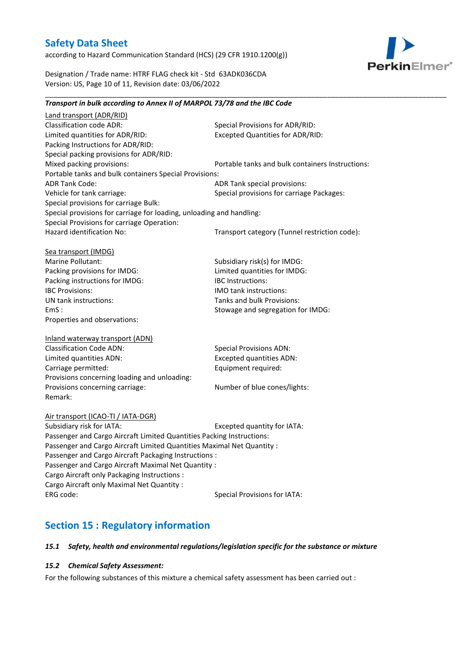according to Hazard Communication Standard (HCS) (29 CFR 1910.1200(g))



Designation / Trade name: HTRF FLAG check kit - Std 63ADK036CDA Version: US, Page 10 of 11, Revision date: 03/06/2022

#### \_\_\_\_\_\_\_\_\_\_\_\_\_\_\_\_\_\_\_\_\_\_\_\_\_\_\_\_\_\_\_\_\_\_\_\_\_\_\_\_\_\_\_\_\_\_\_\_\_\_\_\_\_\_\_\_\_\_\_\_\_\_\_\_\_\_\_\_\_\_\_\_\_\_\_\_\_\_\_\_\_\_\_\_\_\_\_\_\_\_\_\_\_\_\_\_\_\_\_\_\_ *Transport in bulk according to Annex II of MARPOL 73/78 and the IBC Code*

Land transport (ADR/RID) Classification code ADR: Special Provisions for ADR/RID:<br>
Limited quantities for ADR/RID: Excepted Quantities for ADR/RI Excepted Quantities for ADR/RID: Packing Instructions for ADR/RID: Special packing provisions for ADR/RID: Mixed packing provisions: Portable tanks and bulk containers Instructions: Portable tanks and bulk containers Special Provisions: ADR Tank Code: ADR Tank special provisions: Vehicle for tank carriage:  $S$  Special provisions for carriage Packages: Special provisions for carriage Bulk: Special provisions for carriage for loading, unloading and handling: Special Provisions for carriage Operation: Hazard identification No: Transport category (Tunnel restriction code): Sea transport (IMDG) Marine Pollutant: Subsidiary risk(s) for IMDG: Packing provisions for IMDG: Limited quantities for IMDG: Packing instructions for IMDG: IBC Instructions: IBC Provisions: IMO tank instructions: UN tank instructions: Tanks and bulk Provisions: EmS : Stowage and segregation for IMDG: Properties and observations: Inland waterway transport (ADN) Classification Code ADN: Special Provisions ADN: Limited quantities ADN: Excepted quantities ADN: Carriage permitted: Carriage permitted: Provisions concerning loading and unloading: Provisions concerning carriage: Number of blue cones/lights: Remark: Air transport (ICAO-TI / IATA-DGR) Subsidiary risk for IATA: Excepted quantity for IATA: Passenger and Cargo Aircraft Limited Quantities Packing Instructions: Passenger and Cargo Aircraft Limited Quantities Maximal Net Quantity : Passenger and Cargo Aircraft Packaging Instructions : Passenger and Cargo Aircraft Maximal Net Quantity : Cargo Aircraft only Packaging Instructions : Cargo Aircraft only Maximal Net Quantity : ERG code: Special Provisions for IATA:

## **Section 15 : Regulatory information**

#### *15.1 Safety, health and environmental regulations/legislation specific for the substance or mixture*

#### *15.2 Chemical Safety Assessment:*

For the following substances of this mixture a chemical safety assessment has been carried out :